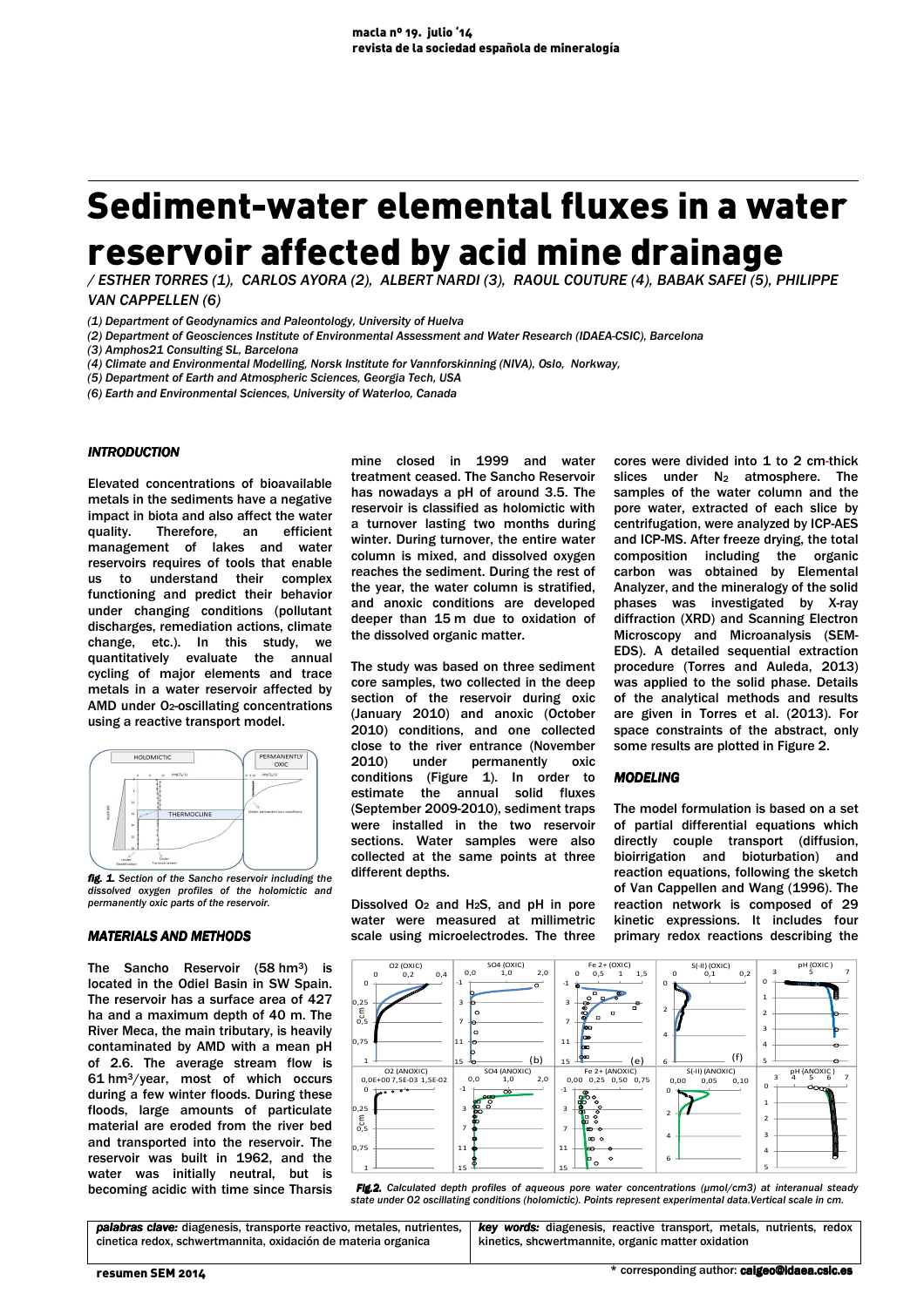# Sediment-water elemental fluxes in a water reservoir affected by acid mine drainage

*/ ESTHER TORRES (1), CARLOS AYORA (2), ALBERT NARDI (3), RAOUL COUTURE (4), BABAK SAFEI (5), PHILIPPE VAN CAPPELLEN (6)* 

*(2) Department of Geosciences Institute of Environmental Assessment and Water Research (IDAEA-CSIC), Barcelona* 

*(3) Amphos21 Consulting SL, Barcelona* 

*(4) Climate and Environmental Modelling, Norsk Institute for Vannforskinning (NIVA), Oslo, Norkway,* 

*(5) Department of Earth and Atmospheric Sciences, Georgia Tech, USA* 

*(6) Earth and Environmental Sciences, University of Waterloo, Canada* 

### *INTRODUCTION*

Elevated concentrations of bioavailable metals in the sediments have a negative impact in biota and also affect the water quality. Therefore, an efficient management of lakes and water reservoirs requires of tools that enable us to understand their complex functioning and predict their behavior under changing conditions (pollutant discharges, remediation actions, climate change, etc.). In this study, we quantitatively evaluate the annual cycling of major elements and trace metals in a water reservoir affected by AMD under O<sub>2</sub>-oscillating concentrations using a reactive transport model.



*fig. 1. Section of the Sancho reservoir including the dissolved oxygen profiles of the holomictic and permanently oxic parts of the reservoir.* 

#### *MATERIALS AND METHODS*

The Sancho Reservoir (58 hm3) is located in the Odiel Basin in SW Spain. The reservoir has a surface area of 427 ha and a maximum depth of 40 m. The River Meca, the main tributary, is heavily contaminated by AMD with a mean pH of 2.6. The average stream flow is 61 hm3/year, most of which occurs during a few winter floods. During these floods, large amounts of particulate material are eroded from the river bed and transported into the reservoir. The reservoir was built in 1962, and the water was initially neutral, but is becoming acidic with time since Tharsis mine closed in 1999 and water treatment ceased. The Sancho Reservoir has nowadays a pH of around 3.5. The reservoir is classified as holomictic with a turnover lasting two months during winter. During turnover, the entire water column is mixed, and dissolved oxygen reaches the sediment. During the rest of the year, the water column is stratified, and anoxic conditions are developed deeper than 15 m due to oxidation of the dissolved organic matter.

The study was based on three sediment core samples, two collected in the deep section of the reservoir during oxic (January 2010) and anoxic (October 2010) conditions, and one collected close to the river entrance (November 2010) under permanently oxic conditions (Figure 1). In order to estimate the annual solid fluxes (September 2009-2010), sediment traps were installed in the two reservoir sections. Water samples were also collected at the same points at three different depths.

Dissolved  $O_2$  and  $H_2S$ , and pH in pore water were measured at millimetric scale using microelectrodes. The three

cores were divided into 1 to 2 cm-thick slices under  $N_2$  atmosphere. The samples of the water column and the pore water, extracted of each slice by centrifugation, were analyzed by ICP-AES and ICP-MS. After freeze drying, the total composition including the organic carbon was obtained by Elemental Analyzer, and the mineralogy of the solid phases was investigated by X-ray diffraction (XRD) and Scanning Electron Microscopy and Microanalysis (SEM-EDS). A detailed sequential extraction procedure (Torres and Auleda, 2013) was applied to the solid phase. Details of the analytical methods and results are given in Torres et al. (2013). For space constraints of the abstract, only some results are plotted in Figure 2.

## *MODELING MODELING*

The model formulation is based on a set of partial differential equations which directly couple transport (diffusion, bioirrigation and bioturbation) and reaction equations, following the sketch of Van Cappellen and Wang (1996). The reaction network is composed of 29 kinetic expressions. It includes four primary redox reactions describing the



 *Fig.2. Calculated depth profiles of aqueous pore water concentrations (µmol/cm3) at interanual steady state under O2 oscillating conditions (holomictic). Points represent experimental data.Vertical scale in cm.* 

*palabras clave:* diagenesis, transporte reactivo, metales, nutrientes, cinetica redox, schwertmannita, oxidación de materia organica *key words:* diagenesis, reactive transport, metals, nutrients, redox kinetics, shcwertmannite, organic matter oxidation

*<sup>(1)</sup> Department of Geodynamics and Paleontology, University of Huelva*